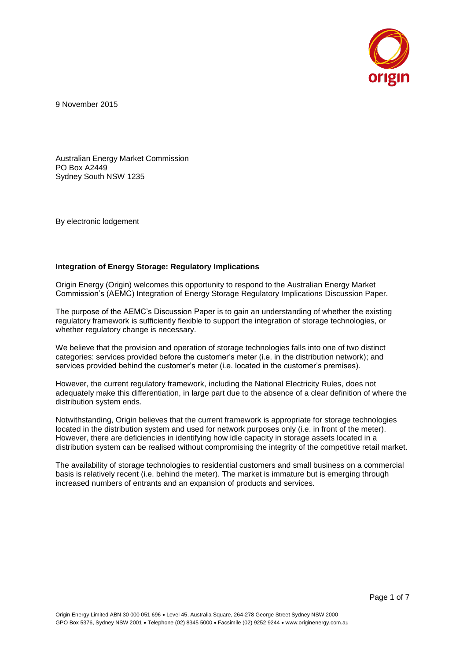

9 November 2015

Australian Energy Market Commission PO Box A2449 Sydney South NSW 1235

By electronic lodgement

#### **Integration of Energy Storage: Regulatory Implications**

Origin Energy (Origin) welcomes this opportunity to respond to the Australian Energy Market Commission's (AEMC) Integration of Energy Storage Regulatory Implications Discussion Paper.

The purpose of the AEMC's Discussion Paper is to gain an understanding of whether the existing regulatory framework is sufficiently flexible to support the integration of storage technologies, or whether regulatory change is necessary.

We believe that the provision and operation of storage technologies falls into one of two distinct categories: services provided before the customer's meter (i.e. in the distribution network); and services provided behind the customer's meter (i.e. located in the customer's premises).

However, the current regulatory framework, including the National Electricity Rules, does not adequately make this differentiation, in large part due to the absence of a clear definition of where the distribution system ends.

Notwithstanding, Origin believes that the current framework is appropriate for storage technologies located in the distribution system and used for network purposes only (i.e. in front of the meter). However, there are deficiencies in identifying how idle capacity in storage assets located in a distribution system can be realised without compromising the integrity of the competitive retail market.

The availability of storage technologies to residential customers and small business on a commercial basis is relatively recent (i.e. behind the meter). The market is immature but is emerging through increased numbers of entrants and an expansion of products and services.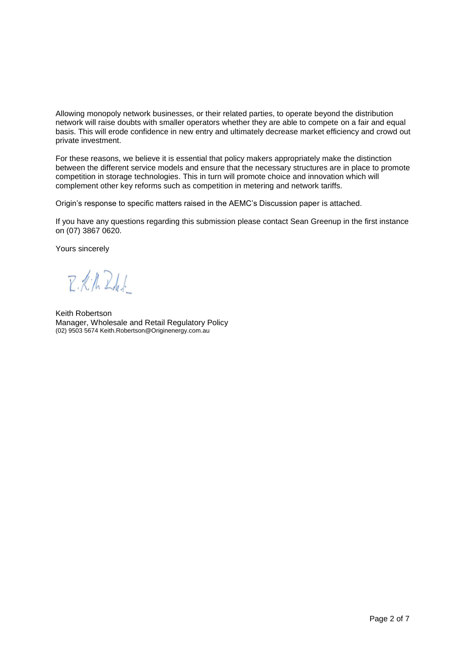Allowing monopoly network businesses, or their related parties, to operate beyond the distribution network will raise doubts with smaller operators whether they are able to compete on a fair and equal basis. This will erode confidence in new entry and ultimately decrease market efficiency and crowd out private investment.

For these reasons, we believe it is essential that policy makers appropriately make the distinction between the different service models and ensure that the necessary structures are in place to promote competition in storage technologies. This in turn will promote choice and innovation which will complement other key reforms such as competition in metering and network tariffs.

Origin's response to specific matters raised in the AEMC's Discussion paper is attached.

If you have any questions regarding this submission please contact Sean Greenup in the first instance on (07) 3867 0620.

Yours sincerely

R.K.N. Rd.J.

Keith Robertson Manager, Wholesale and Retail Regulatory Policy (02) 9503 567[4 Keith.Robertson@Originenergy.com.au](mailto:Keith.Robertson@Originenergy.com.au)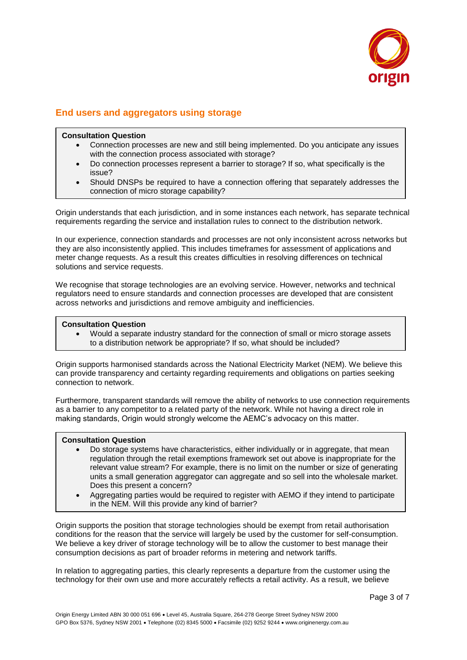

# **End users and aggregators using storage**

### **Consultation Question**

- Connection processes are new and still being implemented. Do you anticipate any issues with the connection process associated with storage?
- Do connection processes represent a barrier to storage? If so, what specifically is the issue?
- Should DNSPs be required to have a connection offering that separately addresses the connection of micro storage capability?

Origin understands that each jurisdiction, and in some instances each network, has separate technical requirements regarding the service and installation rules to connect to the distribution network.

In our experience, connection standards and processes are not only inconsistent across networks but they are also inconsistently applied. This includes timeframes for assessment of applications and meter change requests. As a result this creates difficulties in resolving differences on technical solutions and service requests.

We recognise that storage technologies are an evolving service. However, networks and technical regulators need to ensure standards and connection processes are developed that are consistent across networks and jurisdictions and remove ambiguity and inefficiencies.

### **Consultation Question**

 Would a separate industry standard for the connection of small or micro storage assets to a distribution network be appropriate? If so, what should be included?

Origin supports harmonised standards across the National Electricity Market (NEM). We believe this can provide transparency and certainty regarding requirements and obligations on parties seeking connection to network.

Furthermore, transparent standards will remove the ability of networks to use connection requirements as a barrier to any competitor to a related party of the network. While not having a direct role in making standards, Origin would strongly welcome the AEMC's advocacy on this matter.

#### **Consultation Question**

- Do storage systems have characteristics, either individually or in aggregate, that mean regulation through the retail exemptions framework set out above is inappropriate for the relevant value stream? For example, there is no limit on the number or size of generating units a small generation aggregator can aggregate and so sell into the wholesale market. Does this present a concern?
- Aggregating parties would be required to register with AEMO if they intend to participate in the NEM. Will this provide any kind of barrier?

Origin supports the position that storage technologies should be exempt from retail authorisation conditions for the reason that the service will largely be used by the customer for self-consumption. We believe a key driver of storage technology will be to allow the customer to best manage their consumption decisions as part of broader reforms in metering and network tariffs.

In relation to aggregating parties, this clearly represents a departure from the customer using the technology for their own use and more accurately reflects a retail activity. As a result, we believe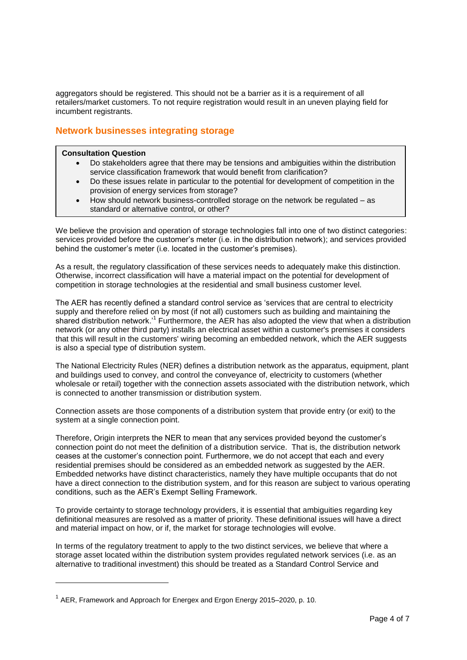aggregators should be registered. This should not be a barrier as it is a requirement of all retailers/market customers. To not require registration would result in an uneven playing field for incumbent registrants.

## **Network businesses integrating storage**

#### **Consultation Question**

- Do stakeholders agree that there may be tensions and ambiguities within the distribution service classification framework that would benefit from clarification?
- Do these issues relate in particular to the potential for development of competition in the provision of energy services from storage?
- How should network business-controlled storage on the network be regulated as standard or alternative control, or other?

We believe the provision and operation of storage technologies fall into one of two distinct categories: services provided before the customer's meter (i.e. in the distribution network); and services provided behind the customer's meter (i.e. located in the customer's premises).

As a result, the regulatory classification of these services needs to adequately make this distinction. Otherwise, incorrect classification will have a material impact on the potential for development of competition in storage technologies at the residential and small business customer level.

The AER has recently defined a standard control service as 'services that are central to electricity supply and therefore relied on by most (if not all) customers such as building and maintaining the shared distribution network.<sup>1</sup> Furthermore, the AER has also adopted the view that when a distribution network (or any other third party) installs an electrical asset within a customer's premises it considers that this will result in the customers' wiring becoming an embedded network, which the AER suggests is also a special type of distribution system.

The National Electricity Rules (NER) defines a distribution network as the apparatus, equipment, plant and buildings used to convey, and control the conveyance of, electricity to customers (whether wholesale or retail) together with the connection assets associated with the distribution network, which is connected to another transmission or distribution system.

Connection assets are those components of a distribution system that provide entry (or exit) to the system at a single connection point.

Therefore, Origin interprets the NER to mean that any services provided beyond the customer's connection point do not meet the definition of a distribution service. That is, the distribution network ceases at the customer's connection point. Furthermore, we do not accept that each and every residential premises should be considered as an embedded network as suggested by the AER. Embedded networks have distinct characteristics, namely they have multiple occupants that do not have a direct connection to the distribution system, and for this reason are subject to various operating conditions, such as the AER's Exempt Selling Framework.

To provide certainty to storage technology providers, it is essential that ambiguities regarding key definitional measures are resolved as a matter of priority. These definitional issues will have a direct and material impact on how, or if, the market for storage technologies will evolve.

In terms of the regulatory treatment to apply to the two distinct services, we believe that where a storage asset located within the distribution system provides regulated network services (i.e. as an alternative to traditional investment) this should be treated as a Standard Control Service and

l

 $^1$  AER, Framework and Approach for Energex and Ergon Energy 2015–2020, p. 10.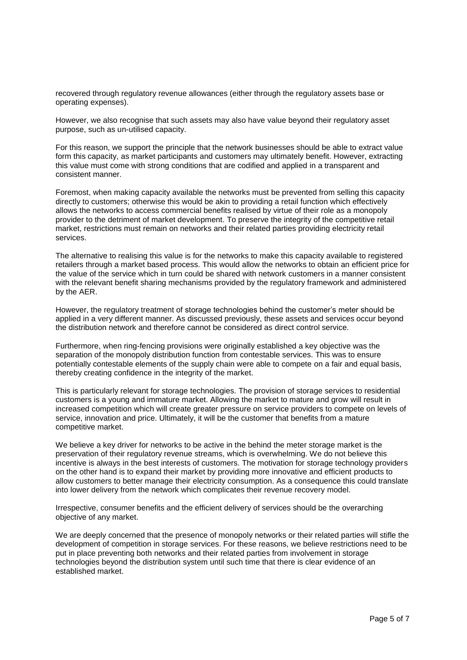recovered through regulatory revenue allowances (either through the regulatory assets base or operating expenses).

However, we also recognise that such assets may also have value beyond their regulatory asset purpose, such as un-utilised capacity.

For this reason, we support the principle that the network businesses should be able to extract value form this capacity, as market participants and customers may ultimately benefit. However, extracting this value must come with strong conditions that are codified and applied in a transparent and consistent manner.

Foremost, when making capacity available the networks must be prevented from selling this capacity directly to customers; otherwise this would be akin to providing a retail function which effectively allows the networks to access commercial benefits realised by virtue of their role as a monopoly provider to the detriment of market development. To preserve the integrity of the competitive retail market, restrictions must remain on networks and their related parties providing electricity retail services.

The alternative to realising this value is for the networks to make this capacity available to registered retailers through a market based process. This would allow the networks to obtain an efficient price for the value of the service which in turn could be shared with network customers in a manner consistent with the relevant benefit sharing mechanisms provided by the regulatory framework and administered by the AER.

However, the regulatory treatment of storage technologies behind the customer's meter should be applied in a very different manner. As discussed previously, these assets and services occur beyond the distribution network and therefore cannot be considered as direct control service.

Furthermore, when ring-fencing provisions were originally established a key objective was the separation of the monopoly distribution function from contestable services. This was to ensure potentially contestable elements of the supply chain were able to compete on a fair and equal basis, thereby creating confidence in the integrity of the market.

This is particularly relevant for storage technologies. The provision of storage services to residential customers is a young and immature market. Allowing the market to mature and grow will result in increased competition which will create greater pressure on service providers to compete on levels of service, innovation and price. Ultimately, it will be the customer that benefits from a mature competitive market.

We believe a key driver for networks to be active in the behind the meter storage market is the preservation of their regulatory revenue streams, which is overwhelming. We do not believe this incentive is always in the best interests of customers. The motivation for storage technology providers on the other hand is to expand their market by providing more innovative and efficient products to allow customers to better manage their electricity consumption. As a consequence this could translate into lower delivery from the network which complicates their revenue recovery model.

Irrespective, consumer benefits and the efficient delivery of services should be the overarching objective of any market.

We are deeply concerned that the presence of monopoly networks or their related parties will stifle the development of competition in storage services. For these reasons, we believe restrictions need to be put in place preventing both networks and their related parties from involvement in storage technologies beyond the distribution system until such time that there is clear evidence of an established market.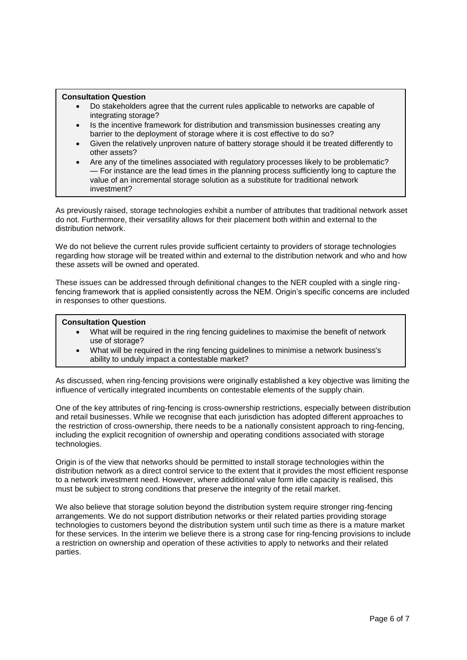#### **Consultation Question**

- Do stakeholders agree that the current rules applicable to networks are capable of integrating storage?
- Is the incentive framework for distribution and transmission businesses creating any barrier to the deployment of storage where it is cost effective to do so?
- Given the relatively unproven nature of battery storage should it be treated differently to other assets?
- Are any of the timelines associated with regulatory processes likely to be problematic? — For instance are the lead times in the planning process sufficiently long to capture the value of an incremental storage solution as a substitute for traditional network investment?

As previously raised, storage technologies exhibit a number of attributes that traditional network asset do not. Furthermore, their versatility allows for their placement both within and external to the distribution network.

We do not believe the current rules provide sufficient certainty to providers of storage technologies regarding how storage will be treated within and external to the distribution network and who and how these assets will be owned and operated.

These issues can be addressed through definitional changes to the NER coupled with a single ringfencing framework that is applied consistently across the NEM. Origin's specific concerns are included in responses to other questions.

#### **Consultation Question**

- What will be required in the ring fencing guidelines to maximise the benefit of network use of storage?
- What will be required in the ring fencing guidelines to minimise a network business's ability to unduly impact a contestable market?

As discussed, when ring-fencing provisions were originally established a key objective was limiting the influence of vertically integrated incumbents on contestable elements of the supply chain.

One of the key attributes of ring-fencing is cross-ownership restrictions, especially between distribution and retail businesses. While we recognise that each jurisdiction has adopted different approaches to the restriction of cross-ownership, there needs to be a nationally consistent approach to ring-fencing, including the explicit recognition of ownership and operating conditions associated with storage technologies.

Origin is of the view that networks should be permitted to install storage technologies within the distribution network as a direct control service to the extent that it provides the most efficient response to a network investment need. However, where additional value form idle capacity is realised, this must be subject to strong conditions that preserve the integrity of the retail market.

We also believe that storage solution beyond the distribution system require stronger ring-fencing arrangements. We do not support distribution networks or their related parties providing storage technologies to customers beyond the distribution system until such time as there is a mature market for these services. In the interim we believe there is a strong case for ring-fencing provisions to include a restriction on ownership and operation of these activities to apply to networks and their related parties.